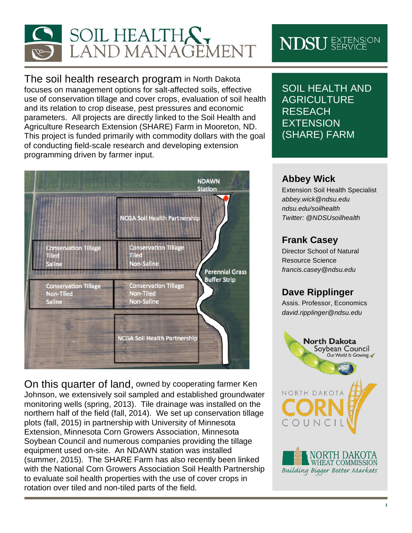

The soil health research program in North Dakota focuses on management options for salt-affected soils, effective use of conservation tillage and cover crops, evaluation of soil health and its relation to crop disease, pest pressures and economic parameters. All projects are directly linked to the Soil Health and Agriculture Research Extension (SHARE) Farm in Mooreton, ND. This project is funded primarily with commodity dollars with the goal of conducting field-scale research and developing extension programming driven by farmer input.



On this quarter of land, owned by cooperating farmer Ken Johnson, we extensively soil sampled and established groundwater monitoring wells (spring, 2013). Tile drainage was installed on the northern half of the field (fall, 2014). We set up conservation tillage plots (fall, 2015) in partnership with University of Minnesota Extension, Minnesota Corn Growers Association, Minnesota Soybean Council and numerous companies providing the tillage equipment used on-site. An NDAWN station was installed (summer, 2015). The SHARE Farm has also recently been linked with the National Corn Growers Association Soil Health Partnership to evaluate soil health properties with the use of cover crops in rotation over tiled and non-tiled parts of the field.

# **NDSU** EXTENSION

SOIL HEALTH AND **AGRICULTURE** RESEACH **EXTENSION** (SHARE) FARM

## **Abbey Wick**

Extension Soil Health Specialist *abbey.wick@ndsu.edu ndsu.edu/soilhealth Twitter: @NDSUsoilhealth*

## **Frank Casey**

Director School of Natural Resource Science *francis.casey@ndsu.edu*

## **Dave Ripplinger**

Assis. Professor, Economics *david.ripplinger@ndsu.edu*



Building Bigger Better Markets